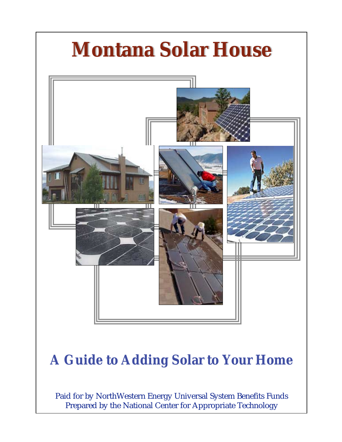

Paid for by NorthWestern Energy Universal System Benefits Funds Prepared by the National Center for Appropriate Technology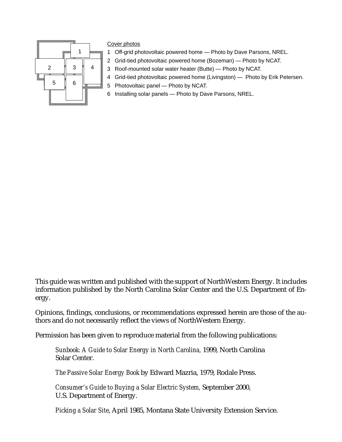

#### Cover photos

- 1 Off-grid photovoltaic powered home Photo by Dave Parsons, NREL.
- 2 Grid-tied photovoltaic powered home (Bozeman) Photo by NCAT.
- 3 Roof-mounted solar water heater (Butte) Photo by NCAT.
- 4 Grid-tied photovoltaic powered home (Livingston) Photo by Erik Petersen.
- 5 Photovoltaic panel Photo by NCAT.
- 6 Installing solar panels Photo by Dave Parsons, NREL.

This guide was written and published with the support of NorthWestern Energy. It includes information published by the North Carolina Solar Center and the U.S. Department of Energy.

Opinions, findings, conclusions, or recommendations expressed herein are those of the authors and do not necessarily reflect the views of NorthWestern Energy.

Permission has been given to reproduce material from the following publications:

*Sunbook: A Guide to Solar Energy in North Carolina,* 1999, North Carolina Solar Center.

*The Passive Solar Energy Book* by Edward Mazria, 1979, Rodale Press.

*Consumer's Guide to Buying a Solar Electric System,* September 2000, U.S. Department of Energy.

*Picking a Solar Site*, April 1985, Montana State University Extension Service.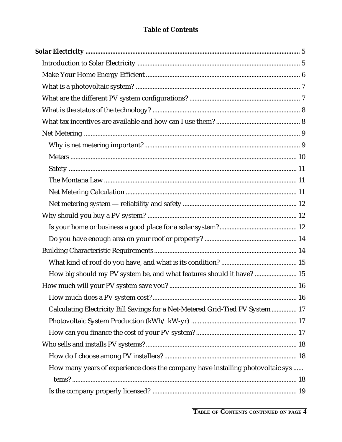## **Table of Contents**

| How big should my PV system be, and what features should it have?  15          |  |
|--------------------------------------------------------------------------------|--|
|                                                                                |  |
|                                                                                |  |
| Calculating Electricity Bill Savings for a Net-Metered Grid-Tied PV System  17 |  |
|                                                                                |  |
|                                                                                |  |
|                                                                                |  |
|                                                                                |  |
| How many years of experience does the company have installing photovoltaic sys |  |
|                                                                                |  |
|                                                                                |  |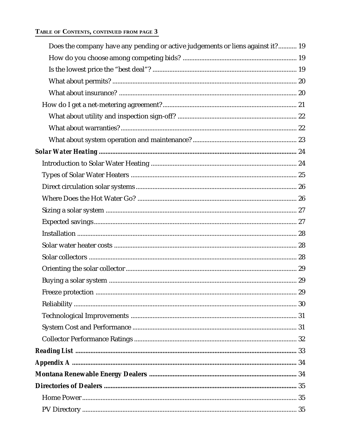#### TABLE OF CONTENTS, CONTINUED FROM PAGE 3

| Does the company have any pending or active judgements or liens against it? 19 |  |
|--------------------------------------------------------------------------------|--|
|                                                                                |  |
|                                                                                |  |
|                                                                                |  |
|                                                                                |  |
|                                                                                |  |
|                                                                                |  |
|                                                                                |  |
|                                                                                |  |
|                                                                                |  |
|                                                                                |  |
|                                                                                |  |
|                                                                                |  |
|                                                                                |  |
|                                                                                |  |
|                                                                                |  |
|                                                                                |  |
|                                                                                |  |
|                                                                                |  |
|                                                                                |  |
|                                                                                |  |
|                                                                                |  |
|                                                                                |  |
|                                                                                |  |
|                                                                                |  |
|                                                                                |  |
|                                                                                |  |
|                                                                                |  |
|                                                                                |  |
|                                                                                |  |
|                                                                                |  |
|                                                                                |  |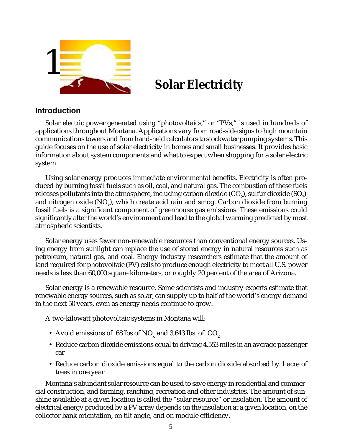<span id="page-4-0"></span>

# **Solar Electricity**

#### **Introduction**

Solar electric power generated using "photovoltaics," or "PVs," is used in hundreds of applications throughout Montana. Applications vary from road-side signs to high mountain communications towers and from hand-held calculators to stockwater pumping systems. This guide focuses on the use of solar electricity in homes and small businesses. It provides basic information about system components and what to expect when shopping for a solar electric system.

Using solar energy produces immediate environmental benefits. Electricity is often produced by burning fossil fuels such as oil, coal, and natural gas. The combustion of these fuels releases pollutants into the atmosphere, including carbon dioxide (CO<sub>2</sub>), sulfur dioxide (SO<sub>2</sub>)<sub>,</sub> and nitrogen oxide (NO $_{\sf x}$ ), which create acid rain and smog. Carbon dioxide from burning fossil fuels is a significant component of greenhouse gas emissions. These emissions could significantly alter the world's environment and lead to the global warming predicted by most atmospheric scientists.

Solar energy uses fewer non-renewable resources than conventional energy sources. Using energy from sunlight can replace the use of stored energy in natural resources such as petroleum, natural gas, and coal. Energy industry researchers estimate that the amount of land required for photovoltaic (PV) cells to produce enough electricity to meet all U.S. power needs is less than 60,000 square kilometers, or roughly 20 percent of the area of Arizona.

Solar energy is a renewable resource. Some scientists and industry experts estimate that renewable energy sources, such as solar, can supply up to half of the world's energy demand in the next 50 years, even as energy needs continue to grow.

A two-kilowatt photovoltaic systems in Montana will:

- Avoid emissions of .68 lbs of NO<sub>y</sub> and 3,643 lbs. of  $CO<sub>2</sub>$
- Reduce carbon dioxide emissions equal to driving 4,553 miles in an average passenger car
- Reduce carbon dioxide emissions equal to the carbon dioxide absorbed by 1 acre of trees in one year

Montana's abundant solar resource can be used to save energy in residential and commercial construction, and farming, ranching, recreation and other industries. The amount of sunshine available at a given location is called the "solar resource" or insolation. The amount of electrical energy produced by a PV array depends on the insolation at a given location, on the collector bank orientation, on tilt angle, and on module efficiency.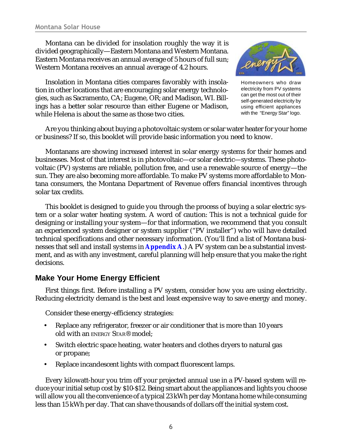<span id="page-5-0"></span>Montana can be divided for insolation roughly the way it is divided geographically—Eastern Montana and Western Montana. Eastern Montana receives an annual average of 5 hours of full sun; Western Montana receives an annual average of 4.2 hours.

Insolation in Montana cities compares favorably with insolation in other locations that are encouraging solar energy technologies, such as Sacramento, CA; Eugene, OR; and Madison, WI. Billings has a better solar resource than either Eugene or Madison, while Helena is about the same as those two cities.



Homeowners who draw electricity from PV systems can get the most out of their self-generated electricity by using efficient appliances with the "Energy Star" logo.

Are you thinking about buying a photovoltaic system or solar water heater for your home or business? If so, this booklet will provide basic information you need to know.

Montanans are showing increased interest in solar energy systems for their homes and businesses. Most of that interest is in photovoltaic—or solar electric—systems. These photovoltaic (PV) systems are reliable, pollution free, and use a renewable source of energy—the sun. They are also becoming more affordable. To make PV systems more affordable to Montana consumers, the Montana Department of Revenue offers financial incentives through solar tax credits.

This booklet is designed to guide you through the process of buying a solar electric system or a solar water heating system. A word of caution: This is not a technical guide for designing or installing your system—for that information, we recommend that you consult an experienced system designer or system supplier ("PV installer") who will have detailed technical specifications and other necessary information. (You'll find a list of Montana businesses that sell and install systems in **[Appendix A](#page-33-0)**.) A PV system can be a substantial investment, and as with any investment, careful planning will help ensure that you make the right decisions.

## **Make Your Home Energy Efficient**

First things first. Before installing a PV system, consider how you are using electricity. Reducing electricity demand is the best and least expensive way to save energy and money.

Consider these energy-efficiency strategies:

- Replace any refrigerator, freezer or air conditioner that is more than 10 years old with an ENERGY STAR® model;
- Switch electric space heating, water heaters and clothes dryers to natural gas or propane;
- Replace incandescent lights with compact fluorescent lamps.

Every kilowatt-hour you trim off your projected annual use in a PV-based system will reduce your initial setup cost by \$10-\$12. Being smart about the appliances and lights you choose will allow you all the convenience of a typical 23 kWh per day Montana home while consuming less than 15 kWh per day. That can shave thousands of dollars off the initial system cost.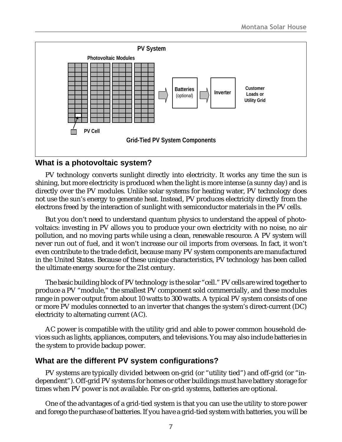<span id="page-6-0"></span>

## **What is a photovoltaic system?**

PV technology converts sunlight directly into electricity. It works any time the sun is shining, but more electricity is produced when the light is more intense (a sunny day) and is directly over the PV modules. Unlike solar systems for heating water, PV technology does not use the sun's energy to generate heat. Instead, PV produces electricity directly from the electrons freed by the interaction of sunlight with semiconductor materials in the PV cells.

But you don't need to understand quantum physics to understand the appeal of photovoltaics: investing in PV allows you to produce your own electricity with no noise, no air pollution, and no moving parts while using a clean, renewable resource. A PV system will never run out of fuel, and it won't increase our oil imports from overseas. In fact, it won't even contribute to the trade deficit, because many PV system components are manufactured in the United States. Because of these unique characteristics, PV technology has been called the ultimate energy source for the 21st century.

The basic building block of PV technology is the solar "cell." PV cells are wired together to produce a PV "module," the smallest PV component sold commercially, and these modules range in power output from about 10 watts to 300 watts. A typical PV system consists of one or more PV modules connected to an inverter that changes the system's direct-current (DC) electricity to alternating current (AC).

AC power is compatible with the utility grid and able to power common household devices such as lights, appliances, computers, and televisions. You may also include batteries in the system to provide backup power.

## **What are the different PV system configurations?**

PV systems are typically divided between on-grid (or "utility tied") and off-grid (or "independent"). Off-grid PV systems for homes or other buildings must have battery storage for times when PV power is not available. For on-grid systems, batteries are optional.

One of the advantages of a grid-tied system is that you can use the utility to store power and forego the purchase of batteries. If you have a grid-tied system with batteries, you will be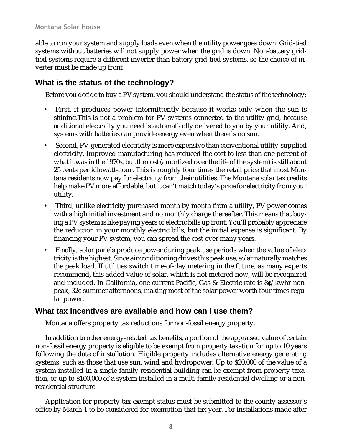<span id="page-7-0"></span>able to run your system and supply loads even when the utility power goes down. Grid-tied systems without batteries will not supply power when the grid is down. Non-battery gridtied systems require a different inverter than battery grid-tied systems, so the choice of inverter must be made up front

## **What is the status of the technology?**

Before you decide to buy a PV system, you should understand the status of the technology:

- First, it produces power intermittently because it works only when the sun is shining.This is not a problem for PV systems connected to the utility grid, because additional electricity you need is automatically delivered to you by your utility. And, systems with batteries can provide energy even when there is no sun.
- Second, PV-generated electricity is more expensive than conventional utility-supplied electricity. Improved manufacturing has reduced the cost to less than one percent of what it was in the 1970s, but the cost (amortized over the life of the system) is still about 25 cents per kilowatt-hour. This is roughly four times the retail price that most Montana residents now pay for electricity from their utilities. The Montana solar tax credits help make PV more affordable, but it can't match today's price for electricity from your utility.
- Third, unlike electricity purchased month by month from a utility, PV power comes with a high initial investment and no monthly charge thereafter. This means that buying a PV system is like paying years of electric bills up front. You'll probably appreciate the reduction in your monthly electric bills, but the initial expense is significant. By financing your PV system, you can spread the cost over many years.
- Finally, solar panels produce power during peak use periods when the value of electricity is the highest. Since air conditioning drives this peak use, solar naturally matches the peak load. If utilities switch time-of-day metering in the future, as many experts recommend, this added value of solar, which is not metered now, will be recognized and included. In California, one current Pacific, Gas & Electric rate is 8¢/kwhr nonpeak, 32¢ summer afternoons, making most of the solar power worth four times regular power.

## **What tax incentives are available and how can I use them?**

Montana offers property tax reductions for non-fossil energy property.

In addition to other energy-related tax benefits, a portion of the appraised value of certain non-fossil energy property is eligible to be exempt from property taxation for up to 10 years following the date of installation. Eligible property includes alternative energy generating systems, such as those that use sun, wind and hydropower. Up to \$20,000 of the value of a system installed in a single-family residential building can be exempt from property taxation, or up to \$100,000 of a system installed in a multi-family residential dwelling or a nonresidential structure.

Application for property tax exempt status must be submitted to the county assessor's office by March 1 to be considered for exemption that tax year. For installations made after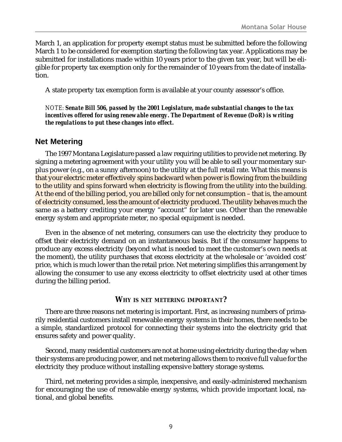<span id="page-8-0"></span>March 1, an application for property exempt status must be submitted before the following March 1 to be considered for exemption starting the following tax year. Applications may be submitted for installations made within 10 years prior to the given tax year, but will be eligible for property tax exemption only for the remainder of 10 years from the date of installation.

A state property tax exemption form is available at your county assessor's office.

*NOTE: Senate Bill 506, passed by the 2001 Legislature, made substantial changes to the tax incentives offered for using renewable energy. The Department of Revenue (DoR) is writing the regulations to put these changes into effect.*

#### **Net Metering**

The 1997 Montana Legislature passed a law requiring utilities to provide net metering. By signing a metering agreement with your utility you will be able to sell your momentary surplus power (e.g., on a sunny afternoon) to the utility at the full retail rate. What this means is that your electric meter effectively spins backward when power is flowing from the building to the utility and spins forward when electricity is flowing from the utility into the building. At the end of the billing period, you are billed only for net consumption – that is, the amount of electricity consumed, less the amount of electricity produced. The utility behaves much the same as a battery crediting your energy "account" for later use. Other than the renewable energy system and appropriate meter, no special equipment is needed.

Even in the absence of net metering, consumers can use the electricity they produce to offset their electricity demand on an instantaneous basis. But if the consumer happens to produce any excess electricity (beyond what is needed to meet the customer's own needs at the moment), the utility purchases that excess electricity at the wholesale or 'avoided cost' price, which is much lower than the retail price. Net metering simplifies this arrangement by allowing the consumer to use any excess electricity to offset electricity used at other times during the billing period.

#### **WHY IS NET METERING IMPORTANT?**

There are three reasons net metering is important. First, as increasing numbers of primarily residential customers install renewable energy systems in their homes, there needs to be a simple, standardized protocol for connecting their systems into the electricity grid that ensures safety and power quality.

Second, many residential customers are not at home using electricity during the day when their systems are producing power, and net metering allows them to receive full value for the electricity they produce without installing expensive battery storage systems.

Third, net metering provides a simple, inexpensive, and easily-administered mechanism for encouraging the use of renewable energy systems, which provide important local, national, and global benefits.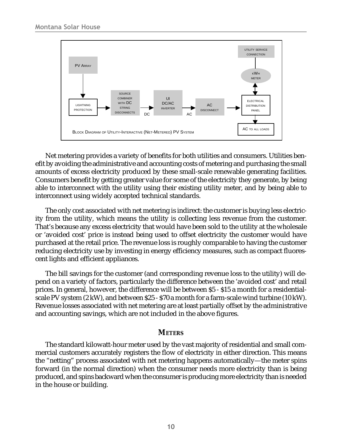<span id="page-9-0"></span>

Net metering provides a variety of benefits for both utilities and consumers. Utilities benefit by avoiding the administrative and accounting costs of metering and purchasing the small amounts of excess electricity produced by these small-scale renewable generating facilities. Consumers benefit by getting greater value for some of the electricity they generate, by being able to interconnect with the utility using their existing utility meter, and by being able to interconnect using widely accepted technical standards.

The only cost associated with net metering is indirect: the customer is buying less electricity from the utility, which means the utility is collecting less revenue from the customer. That's because any excess electricity that would have been sold to the utility at the wholesale or 'avoided cost' price is instead being used to offset electricity the customer would have purchased at the retail price. The revenue loss is roughly comparable to having the customer reducing electricity use by investing in energy efficiency measures, such as compact fluorescent lights and efficient appliances.

The bill savings for the customer (and corresponding revenue loss to the utility) will depend on a variety of factors, particularly the difference between the 'avoided cost' and retail prices. In general, however, the difference will be between \$5 - \$15 a month for a residentialscale PV system (2 kW), and between \$25 - \$70 a month for a farm-scale wind turbine (10 kW). Revenue losses associated with net metering are at least partially offset by the administrative and accounting savings, which are not included in the above figures.

#### **METERS**

The standard kilowatt-hour meter used by the vast majority of residential and small commercial customers accurately registers the flow of electricity in either direction. This means the "netting" process associated with net metering happens automatically—the meter spins forward (in the normal direction) when the consumer needs more electricity than is being produced, and spins backward when the consumer is producing more electricity than is needed in the house or building.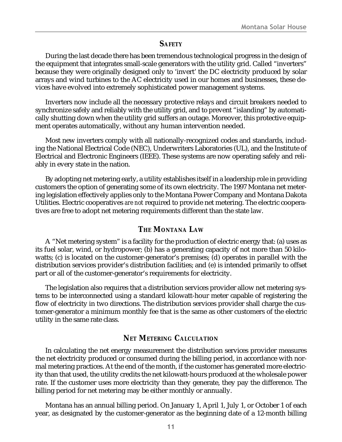#### **SAFETY**

<span id="page-10-0"></span>During the last decade there has been tremendous technological progress in the design of the equipment that integrates small-scale generators with the utility grid. Called "inverters" because they were originally designed only to 'invert' the DC electricity produced by solar arrays and wind turbines to the AC electricity used in our homes and businesses, these devices have evolved into extremely sophisticated power management systems.

Inverters now include all the necessary protective relays and circuit breakers needed to synchronize safely and reliably with the utility grid, and to prevent "islanding" by automatically shutting down when the utility grid suffers an outage. Moreover, this protective equipment operates automatically, without any human intervention needed.

Most new inverters comply with all nationally-recognized codes and standards, including the National Electrical Code (NEC), Underwriters Laboratories (UL), and the Institute of Electrical and Electronic Engineers (IEEE). These systems are now operating safely and reliably in every state in the nation.

By adopting net metering early, a utility establishes itself in a leadership role in providing customers the option of generating some of its own electricity. The 1997 Montana net metering legislation effectively applies only to the Montana Power Company and Montana Dakota Utilities. Electric cooperatives *are not* required to provide net metering. The electric cooperatives are free to adopt net metering requirements different than the state law.

#### **THE MONTANA LAW**

A "Net metering system" is a facility for the production of electric energy that: (a) uses as its fuel solar, wind, or hydropower; (b) has a generating capacity of not more than 50 kilowatts; (c) is located on the customer-generator's premises; (d) operates in parallel with the distribution services provider's distribution facilities; and (e) is intended primarily to offset part or all of the customer-generator's requirements for electricity.

The legislation also requires that a distribution services provider allow net metering systems to be interconnected using a standard kilowatt-hour meter capable of registering the flow of electricity in two directions. The distribution services provider shall charge the customer-generator a minimum monthly fee that is the same as other customers of the electric utility in the same rate class.

## **NET METERING CALCULATION**

In calculating the net energy measurement the distribution services provider measures the net electricity produced or consumed during the billing period, in accordance with normal metering practices. At the end of the month, if the customer has generated more electricity than that used, the utility credits the net kilowatt-hours produced at the wholesale power rate. If the customer uses more electricity than they generate, they pay the difference. The billing period for net metering may be either monthly or annually.

Montana has an annual billing period. On January 1, April 1, July 1, or October 1 of each year, as designated by the customer-generator as the beginning date of a 12-month billing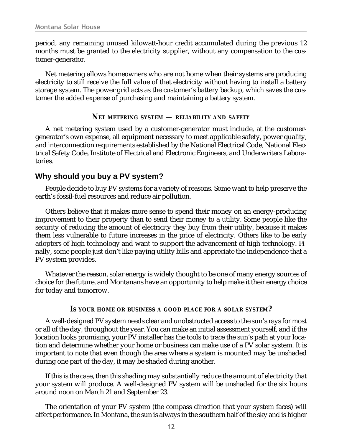<span id="page-11-0"></span>period, any remaining unused kilowatt-hour credit accumulated during the previous 12 months must be granted to the electricity supplier, without any compensation to the customer-generator.

Net metering allows homeowners who are not home when their systems are producing electricity to still receive the full value of that electricity without having to install a battery storage system. The power grid acts as the customer's battery backup, which saves the customer the added expense of purchasing and maintaining a battery system.

#### **NET METERING SYSTEM — RELIABILITY AND SAFETY**

A net metering system used by a customer-generator must include, at the customergenerator's own expense, all equipment necessary to meet applicable safety, power quality, and interconnection requirements established by the National Electrical Code, National Electrical Safety Code, Institute of Electrical and Electronic Engineers, and Underwriters Laboratories.

#### **Why should you buy a PV system?**

People decide to buy PV systems for a variety of reasons. Some want to help preserve the earth's fossil-fuel resources and reduce air pollution.

Others believe that it makes more sense to spend their money on an energy-producing improvement to their property than to send their money to a utility. Some people like the security of reducing the amount of electricity they buy from their utility, because it makes them less vulnerable to future increases in the price of electricity. Others like to be early adopters of high technology and want to support the advancement of high technology. Finally, some people just don't like paying utility bills and appreciate the independence that a PV system provides.

Whatever the reason, solar energy is widely thought to be one of many energy sources of choice for the future, and Montanans have an opportunity to help make it their energy choice for today and tomorrow.

#### **IS YOUR HOME OR BUSINESS A GOOD PLACE FOR A SOLAR SYSTEM?**

A well-designed PV system needs clear and unobstructed access to the sun's rays for most or all of the day, throughout the year. You can make an initial assessment yourself, and if the location looks promising, your PV installer has the tools to trace the sun's path at your location and determine whether your home or business can make use of a PV solar system. It is important to note that even though the area where a system is mounted may be unshaded during one part of the day, it may be shaded during another.

If this is the case, then this shading may substantially reduce the amount of electricity that your system will produce. A well-designed PV system will be unshaded for the six hours around noon on March 21 and September 23.

The orientation of your PV system (the compass direction that your system faces) will affect performance. In Montana, the sun is always in the southern half of the sky and is higher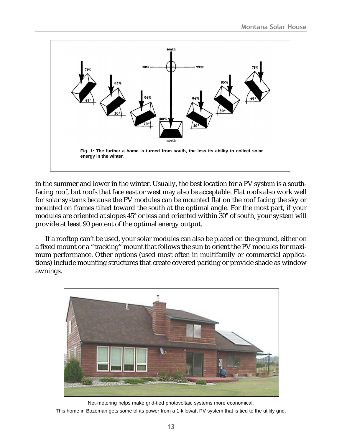

in the summer and lower in the winter. Usually, the best location for a PV system is a southfacing roof, but roofs that face east or west may also be acceptable. Flat roofs also work well for solar systems because the PV modules can be mounted flat on the roof facing the sky or mounted on frames tilted toward the south at the optimal angle. For the most part, if your modules are oriented at slopes 45° or less and oriented within 30° of south, your system will provide at least 90 percent of the optimal energy output.

If a rooftop can't be used, your solar modules can also be placed on the ground, either on a fixed mount or a "tracking" mount that follows the sun to orient the PV modules for maximum performance. Other options (used most often in multifamily or commercial applications) include mounting structures that create covered parking or provide shade as window awnings.



Net-metering helps make grid-tied photovoltaic systems more economical.

This home in Bozeman gets some of its power from a 1-kilowatt PV system that is tied to the utility grid.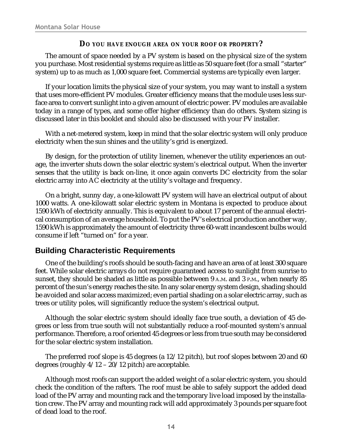#### **DO YOU HAVE ENOUGH AREA ON YOUR ROOF OR PROPERTY?**

<span id="page-13-0"></span>The amount of space needed by a PV system is based on the physical size of the system you purchase. Most residential systems require as little as 50 square feet (for a small "starter" system) up to as much as 1,000 square feet. Commercial systems are typically even larger.

If your location limits the physical size of your system, you may want to install a system that uses more-efficient PV modules. Greater efficiency means that the module uses less surface area to convert sunlight into a given amount of electric power. PV modules are available today in a range of types, and some offer higher efficiency than do others. System sizing is discussed later in this booklet and should also be discussed with your PV installer.

With a net-metered system, keep in mind that the solar electric system will only produce electricity when the sun shines and the utility's grid is energized.

By design, for the protection of utility linemen, whenever the utility experiences an outage, the inverter shuts down the solar electric system's electrical output. When the inverter senses that the utility is back on-line, it once again converts DC electricity from the solar electric array into AC electricity at the utility's voltage and frequency.

On a bright, sunny day, a one-kilowatt PV system will have an electrical output of about 1000 watts. A one-kilowatt solar electric system in Montana is expected to produce about 1590 kWh of electricity annually. This is equivalent to about 17 percent of the annual electrical consumption of an average household. To put the PV's electrical production another way, 1590 kWh is approximately the amount of electricity three 60-watt incandescent bulbs would consume if left "turned on" for a year.

## **Building Characteristic Requirements**

One of the building's roofs should be south-facing and have an area of at least 300 square feet. While solar electric arrays do not require guaranteed access to sunlight from sunrise to sunset, they should be shaded as little as possible between 9 A.M. and 3 P.M., when nearly 85 percent of the sun's energy reaches the site. In any solar energy system design, shading should be avoided and solar access maximized; even partial shading on a solar electric array, such as trees or utility poles, will significantly reduce the system's electrical output.

Although the solar electric system should ideally face true south, a deviation of 45 degrees or less from true south will not substantially reduce a roof-mounted system's annual performance. Therefore, a roof oriented 45 degrees or less from true south may be considered for the solar electric system installation.

The preferred roof slope is 45 degrees (a 12/12 pitch), but roof slopes between 20 and 60 degrees (roughly 4/12 – 20/12 pitch) are acceptable.

Although most roofs can support the added weight of a solar electric system, you should check the condition of the rafters. The roof must be able to safely support the added dead load of the PV array and mounting rack and the temporary live load imposed by the installation crew. The PV array and mounting rack will add approximately 3 pounds per square foot of dead load to the roof.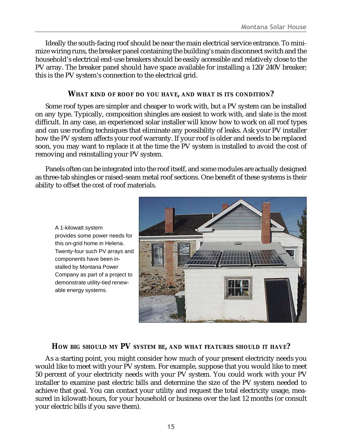<span id="page-14-0"></span>Ideally the south-facing roof should be near the main electrical service entrance. To minimize wiring runs, the breaker panel containing the building's main disconnect switch and the household's electrical end-use breakers should be easily accessible and relatively close to the PV array. The breaker panel should have space available for installing a 120/240V breaker; this is the PV system's connection to the electrical grid.

#### **WHAT KIND OF ROOF DO YOU HAVE, AND WHAT IS ITS CONDITION?**

Some roof types are simpler and cheaper to work with, but a PV system can be installed on any type. Typically, composition shingles are easiest to work with, and slate is the most difficult. In any case, an experienced solar installer will know how to work on all roof types and can use roofing techniques that eliminate any possibility of leaks. Ask your PV installer how the PV system affects your roof warranty. If your roof is older and needs to be replaced soon, you may want to replace it at the time the PV system is installed to avoid the cost of removing and reinstalling your PV system.

Panels often can be integrated into the roof itself, and some modules are actually designed as three-tab shingles or raised-seam metal roof sections. One benefit of these systems is their ability to offset the cost of roof materials.

A 1-kilowatt system provides some power needs for this on-grid home in Helena. Twenty-four such PV arrays and components have been installed by Montana Power Company as part of a project to demonstrate utility-tied renewable energy systems.



#### **HOW BIG SHOULD MY PV SYSTEM BE, AND WHAT FEATURES SHOULD IT HAVE?**

As a starting point, you might consider how much of your present electricity needs you would like to meet with your PV system. For example, suppose that you would like to meet 50 percent of your electricity needs with your PV system. You could work with your PV installer to examine past electric bills and determine the size of the PV system needed to achieve that goal. You can contact your utility and request the total electricity usage, measured in kilowatt-hours, for your household or business over the last 12 months (or consult your electric bills if you save them).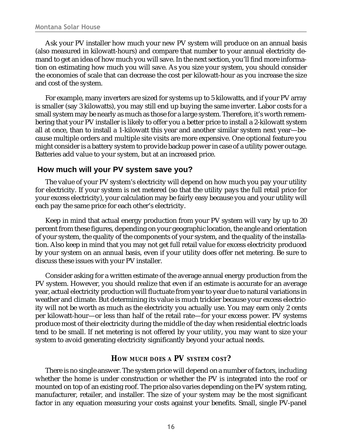<span id="page-15-0"></span>Ask your PV installer how much your new PV system will produce on an annual basis (also measured in kilowatt-hours) and compare that number to your annual electricity demand to get an idea of how much you will save. In the next section, you'll find more information on estimating how much you will save. As you size your system, you should consider the economies of scale that can decrease the cost per kilowatt-hour as you increase the size and cost of the system.

For example, many inverters are sized for systems up to 5 kilowatts, and if your PV array is smaller (say 3 kilowatts), you may still end up buying the same inverter. Labor costs for a small system may be nearly as much as those for a large system. Therefore, it's worth remembering that your PV installer is likely to offer you a better price to install a 2-kilowatt system all at once, than to install a 1-kilowatt this year and another similar system next year—because multiple orders and multiple site visits are more expensive. One optional feature you might consider is a battery system to provide backup power in case of a utility power outage. Batteries add value to your system, but at an increased price.

#### **How much will your PV system save you?**

The value of your PV system's electricity will depend on how much you pay your utility for electricity. If your system is net metered (so that the utility pays the full retail price for your excess electricity), your calculation may be fairly easy because you and your utility will each pay the same price for each other's electricity.

Keep in mind that actual energy production from your PV system will vary by up to 20 percent from these figures, depending on your geographic location, the angle and orientation of your system, the quality of the components of your system, and the quality of the installation. Also keep in mind that you may not get full retail value for excess electricity produced by your system on an annual basis, even if your utility does offer net metering. Be sure to discuss these issues with your PV installer.

Consider asking for a written estimate of the average annual energy production from the PV system. However, you should realize that even if an estimate is accurate for an average year, actual electricity production will fluctuate from year to year due to natural variations in weather and climate. But determining its value is much trickier because your excess electricity will not be worth as much as the electricity you actually use. You may earn only 2 cents per kilowatt-hour—or less than half of the retail rate—for your excess power. PV systems produce most of their electricity during the middle of the day when residential electric loads tend to be small. If net metering is not offered by your utility, you may want to size your system to avoid generating electricity significantly beyond your actual needs.

## **HOW MUCH DOES A PV SYSTEM COST?**

There is no single answer. The system price will depend on a number of factors, including whether the home is under construction or whether the PV is integrated into the roof or mounted on top of an existing roof. The price also varies depending on the PV system rating, manufacturer, retailer, and installer. The size of your system may be the most significant factor in any equation measuring your costs against your benefits. Small, single PV-panel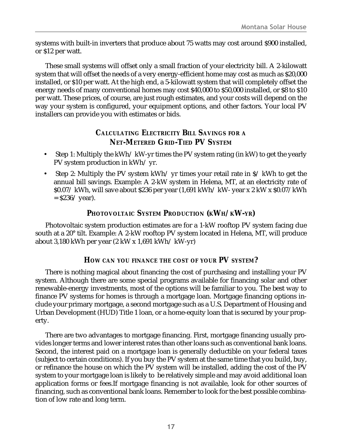<span id="page-16-0"></span>systems with built-in inverters that produce about 75 watts may cost around \$900 installed, or \$12 per watt.

These small systems will offset only a small fraction of your electricity bill. A 2-kilowatt system that will offset the needs of a very energy-efficient home may cost as much as \$20,000 installed, or \$10 per watt. At the high end, a 5-kilowatt system that will completely offset the energy needs of many conventional homes may cost \$40,000 to \$50,000 installed, or \$8 to \$10 per watt. These prices, of course, are just rough estimates, and your costs will depend on the way your system is configured, your equipment options, and other factors. Your local PV installers can provide you with estimates or bids.

## **CALCULATING ELECTRICITY BILL SAVINGS FOR A NET-METERED GRID-TIED PV SYSTEM**

- Step 1: Multiply the kWh/ kW-yr times the PV system rating (in kW) to get the yearly PV system production in kWh/ yr.
- Step 2: Multiply the PV system kWh/ yr times your retail rate in  $\frac{s}{k}$  kWh to get the annual bill savings. Example: A 2-kW system in Helena, MT, at an electricity rate of \$0.07/ kWh, will save about \$236 per year (1,691 kWh/ kW- year x 2 kW x \$0.07/kWh  $=$  \$236/ year).

## **PHOTOVOLTAIC SYSTEM PRODUCTION (KWH/ KW-YR)**

Photovoltaic system production estimates are for a 1-kW rooftop PV system facing due south at a 20° tilt. Example: A 2-kW rooftop PV system located in Helena, MT, will produce about 3,180 kWh per year (2 kW x 1,691 kWh/ kW-yr)

## **HOW CAN YOU FINANCE THE COST OF YOUR PV SYSTEM?**

There is nothing magical about financing the cost of purchasing and installing your PV system. Although there are some special programs available for financing solar and other renewable-energy investments, most of the options will be familiar to you. The best way to finance PV systems for homes is through a mortgage loan. Mortgage financing options include your primary mortgage, a second mortgage such as a U.S. Department of Housing and Urban Development (HUD) Title 1 loan, or a home-equity loan that is secured by your property.

There are two advantages to mortgage financing. First, mortgage financing usually provides longer terms and lower interest rates than other loans such as conventional bank loans. Second, the interest paid on a mortgage loan is generally deductible on your federal taxes (subject to certain conditions). If you buy the PV system at the same time that you build, buy, or refinance the house on which the PV system will be installed, adding the cost of the PV system to your mortgage loan is likely to be relatively simple and may avoid additional loan application forms or fees.If mortgage financing is not available, look for other sources of financing, such as conventional bank loans. Remember to look for the best possible combination of low rate and long term.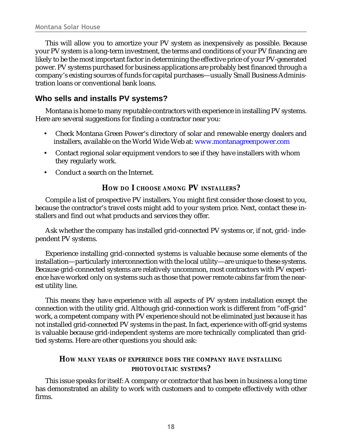<span id="page-17-0"></span>This will allow you to amortize your PV system as inexpensively as possible. Because your PV system is a long-term investment, the terms and conditions of your PV financing are likely to be the most important factor in determining the effective price of your PV-generated power. PV systems purchased for business applications are probably best financed through a company's existing sources of funds for capital purchases—usually Small Business Administration loans or conventional bank loans.

## **Who sells and installs PV systems?**

Montana is home to many reputable contractors with experience in installing PV systems. Here are several suggestions for finding a contractor near you:

- Check Montana Green Power's directory of solar and renewable energy dealers and installers, available on the World Wide Web at: [www.montanagreenpower.com](http://www.montanagreenpower.com/)
- Contact regional solar equipment vendors to see if they have installers with whom they regularly work.
- Conduct a search on the Internet.

#### **HOW DO I CHOOSE AMONG PV INSTALLERS?**

Compile a list of prospective PV installers. You might first consider those closest to you, because the contractor's travel costs might add to your system price. Next, contact these installers and find out what products and services they offer.

Ask whether the company has installed grid-connected PV systems or, if not, grid- independent PV systems.

Experience installing grid-connected systems is valuable because some elements of the installation—particularly interconnection with the local utility—are unique to these systems. Because grid-connected systems are relatively uncommon, most contractors with PV experience have worked only on systems such as those that power remote cabins far from the nearest utility line.

This means they have experience with all aspects of PV system installation except the connection with the utility grid. Although grid-connection work is different from "off-grid" work, a competent company with PV experience should not be eliminated just because it has not installed grid-connected PV systems in the past. In fact, experience with off-grid systems is valuable because grid-independent systems are more technically complicated than gridtied systems. Here are other questions you should ask:

#### **HOW MANY YEARS OF EXPERIENCE DOES THE COMPANY HAVE INSTALLING PHOTOVOLTAIC SYSTEMS?**

This issue speaks for itself: A company or contractor that has been in business a long time has demonstrated an ability to work with customers and to compete effectively with other firms.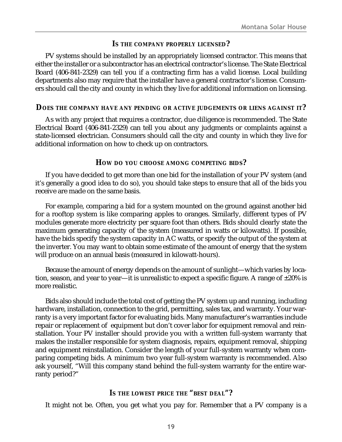#### **IS THE COMPANY PROPERLY LICENSED?**

<span id="page-18-0"></span>PV systems should be installed by an appropriately licensed contractor. This means that either the installer or a subcontractor has an electrical contractor's license. The State Electrical Board (406-841-2329) can tell you if a contracting firm has a valid license. Local building departments also may require that the installer have a general contractor's license. Consumers should call the city and county in which they live for additional information on licensing.

#### **DOES THE COMPANY HAVE ANY PENDING OR ACTIVE JUDGEMENTS OR LIENS AGAINST IT?**

As with any project that requires a contractor, due diligence is recommended. The State Electrical Board (406-841-2329) can tell you about any judgments or complaints against a state-licensed electrician. Consumers should call the city and county in which they live for additional information on how to check up on contractors.

#### **HOW DO YOU CHOOSE AMONG COMPETING BIDS?**

If you have decided to get more than one bid for the installation of your PV system (and it's generally a good idea to do so), you should take steps to ensure that all of the bids you receive are made on the same basis.

For example, comparing a bid for a system mounted on the ground against another bid for a rooftop system is like comparing apples to oranges. Similarly, different types of PV modules generate more electricity per square foot than others. Bids should clearly state the maximum generating capacity of the system (measured in watts or kilowatts). If possible, have the bids specify the system capacity in AC watts, or specify the output of the system at the inverter. You may want to obtain some estimate of the amount of energy that the system will produce on an annual basis (measured in kilowatt-hours).

Because the amount of energy depends on the amount of sunlight—which varies by location, season, and year to year—it is unrealistic to expect a specific figure. A range of  $\pm 20\%$  is more realistic.

Bids also should include the total cost of getting the PV system up and running, including hardware, installation, connection to the grid, permitting, sales tax, and warranty. Your warranty is a very important factor for evaluating bids. Many manufacturer's warranties include repair or replacement of equipment but don't cover labor for equipment removal and reinstallation. Your PV installer should provide you with a written full-system warranty that makes the installer responsible for system diagnosis, repairs, equipment removal, shipping and equipment reinstallation. Consider the length of your full-system warranty when comparing competing bids. A minimum two year full-system warranty is recommended. Also ask yourself, "Will this company stand behind the full-system warranty for the entire warranty period?"

#### **IS THE LOWEST PRICE THE "BEST DEAL"?**

It might not be. Often, you get what you pay for. Remember that a PV company is a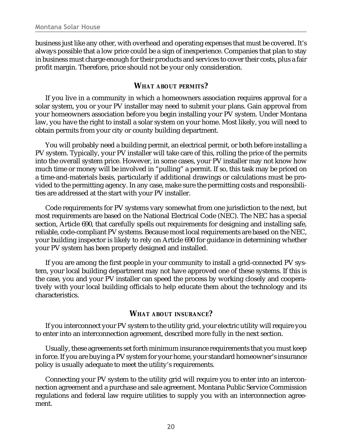<span id="page-19-0"></span>business just like any other, with overhead and operating expenses that must be covered. It's always possible that a low price could be a sign of inexperience. Companies that plan to stay in business must charge enough for their products and services to cover their costs, plus a fair profit margin. Therefore, price should not be your only consideration.

#### **WHAT ABOUT PERMITS?**

If you live in a community in which a homeowners association requires approval for a solar system, you or your PV installer may need to submit your plans. Gain approval from your homeowners association before you begin installing your PV system. Under Montana law, you have the right to install a solar system on your home. Most likely, you will need to obtain permits from your city or county building department.

You will probably need a building permit, an electrical permit, or both before installing a PV system. Typically, your PV installer will take care of this, rolling the price of the permits into the overall system price. However, in some cases, your PV installer may not know how much time or money will be involved in "pulling" a permit. If so, this task may be priced on a time-and-materials basis, particularly if additional drawings or calculations must be provided to the permitting agency. In any case, make sure the permitting costs and responsibilities are addressed at the start with your PV installer.

Code requirements for PV systems vary somewhat from one jurisdiction to the next, but most requirements are based on the National Electrical Code (NEC). The NEC has a special section, Article 690, that carefully spells out requirements for designing and installing safe, reliable, code-compliant PV systems. Because most local requirements are based on the NEC, your building inspector is likely to rely on Article 690 for guidance in determining whether your PV system has been properly designed and installed.

If you are among the first people in your community to install a grid-connected PV system, your local building department may not have approved one of these systems. If this is the case, you and your PV installer can speed the process by working closely and cooperatively with your local building officials to help educate them about the technology and its characteristics.

#### **WHAT ABOUT INSURANCE?**

If you interconnect your PV system to the utility grid, your electric utility will require you to enter into an interconnection agreement, described more fully in the next section.

Usually, these agreements set forth minimum insurance requirements that you must keep in force. If you are buying a PV system for your home, your standard homeowner's insurance policy is usually adequate to meet the utility's requirements.

Connecting your PV system to the utility grid will require you to enter into an interconnection agreement and a purchase and sale agreement. Montana Public Service Commission regulations and federal law require utilities to supply you with an interconnection agreement.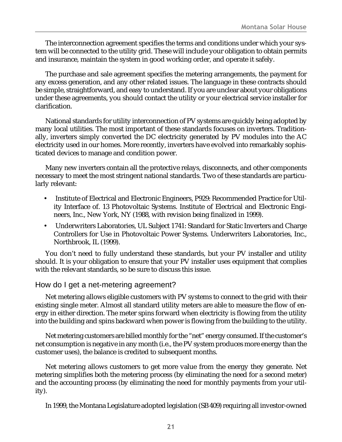<span id="page-20-0"></span>The interconnection agreement specifies the terms and conditions under which your system will be connected to the utility grid. These will include your obligation to obtain permits and insurance, maintain the system in good working order, and operate it safely.

The purchase and sale agreement specifies the metering arrangements, the payment for any excess generation, and any other related issues. The language in these contracts should be simple, straightforward, and easy to understand. If you are unclear about your obligations under these agreements, you should contact the utility or your electrical service installer for clarification.

National standards for utility interconnection of PV systems are quickly being adopted by many local utilities. The most important of these standards focuses on inverters. Traditionally, inverters simply converted the DC electricity generated by PV modules into the AC electricity used in our homes. More recently, inverters have evolved into remarkably sophisticated devices to manage and condition power.

Many new inverters contain all the protective relays, disconnects, and other components necessary to meet the most stringent national standards. Two of these standards are particularly relevant:

- Institute of Electrical and Electronic Engineers, P929: Recommended Practice for Utility Interface of. 13 Photovoltaic Systems. Institute of Electrical and Electronic Engineers, Inc., New York, NY (1988, with revision being finalized in 1999).
- Underwriters Laboratories, UL Subject 1741: Standard for Static Inverters and Charge Controllers for Use in Photovoltaic Power Systems. Underwriters Laboratories, Inc., Northbrook, IL (1999).

You don't need to fully understand these standards, but your PV installer and utility should. It is your obligation to ensure that your PV installer uses equipment that complies with the relevant standards, so be sure to discuss this issue.

#### How do I get a net-metering agreement?

Net metering allows eligible customers with PV systems to connect to the grid with their existing single meter. Almost all standard utility meters are able to measure the flow of energy in either direction. The meter spins forward when electricity is flowing from the utility into the building and spins backward when power is flowing from the building to the utility.

Net metering customers are billed monthly for the "net" energy consumed. If the customer's net consumption is negative in any month (i.e., the PV system produces more energy than the customer uses), the balance is credited to subsequent months.

Net metering allows customers to get more value from the energy they generate. Net metering simplifies both the metering process (by eliminating the need for a second meter) and the accounting process (by eliminating the need for monthly payments from your utility).

In 1999, the Montana Legislature adopted legislation (SB 409) requiring all investor-owned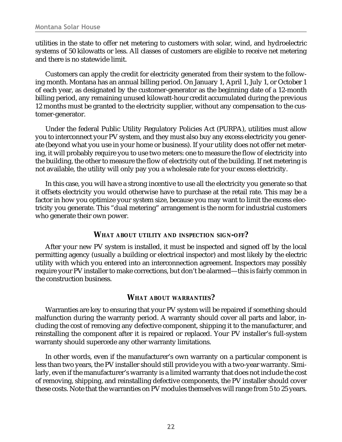<span id="page-21-0"></span>utilities in the state to offer net metering to customers with solar, wind, and hydroelectric systems of 50 kilowatts or less. All classes of customers are eligible to receive net metering and there is no statewide limit.

Customers can apply the credit for electricity generated from their system to the following month. Montana has an annual billing period. On January 1, April 1, July 1, or October 1 of each year, as designated by the customer-generator as the beginning date of a 12-month billing period, any remaining unused kilowatt-hour credit accumulated during the previous 12 months must be granted to the electricity supplier, without any compensation to the customer-generator.

Under the federal Public Utility Regulatory Policies Act (PURPA), utilities must allow you to interconnect your PV system, and they must also buy any excess electricity you generate (beyond what you use in your home or business). If your utility does not offer net metering, it will probably require you to use two meters: one to measure the flow of electricity into the building, the other to measure the flow of electricity out of the building. If net metering is not available, the utility will only pay you a wholesale rate for your excess electricity.

In this case, you will have a strong incentive to use all the electricity you generate so that it offsets electricity you would otherwise have to purchase at the retail rate. This may be a factor in how you optimize your system size, because you may want to limit the excess electricity you generate. This "dual metering" arrangement is the norm for industrial customers who generate their own power.

#### **WHAT ABOUT UTILITY AND INSPECTION SIGN-OFF?**

After your new PV system is installed, it must be inspected and signed off by the local permitting agency (usually a building or electrical inspector) and most likely by the electric utility with which you entered into an interconnection agreement. Inspectors may possibly require your PV installer to make corrections, but don't be alarmed—this is fairly common in the construction business.

#### **WHAT ABOUT WARRANTIES?**

Warranties are key to ensuring that your PV system will be repaired if something should malfunction during the warranty period. A warranty should cover all parts and labor, including the cost of removing any defective component, shipping it to the manufacturer, and reinstalling the component after it is repaired or replaced. Your PV installer's full-system warranty should supercede any other warranty limitations.

In other words, even if the manufacturer's own warranty on a particular component is less than two years, the PV installer should still provide you with a two-year warranty. Similarly, even if the manufacturer's warranty is a limited warranty that does not include the cost of removing, shipping, and reinstalling defective components, the PV installer should cover these costs. Note that the warranties on PV modules themselves will range from 5 to 25 years.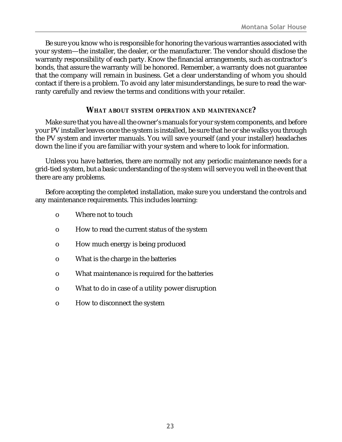<span id="page-22-0"></span>Be sure you know who is responsible for honoring the various warranties associated with your system—the installer, the dealer, or the manufacturer. The vendor should disclose the warranty responsibility of each party. Know the financial arrangements, such as contractor's bonds, that assure the warranty will be honored. Remember, a warranty does not guarantee that the company will remain in business. Get a clear understanding of whom you should contact if there is a problem. To avoid any later misunderstandings, be sure to read the warranty carefully and review the terms and conditions with your retailer.

#### **WHAT ABOUT SYSTEM OPERATION AND MAINTENANCE?**

Make sure that you have all the owner's manuals for your system components, and before your PV installer leaves once the system is installed, be sure that he or she walks you through the PV system and inverter manuals. You will save yourself (and your installer) headaches down the line if you are familiar with your system and where to look for information.

Unless you have batteries, there are normally not any periodic maintenance needs for a grid-tied system, but a basic understanding of the system will serve you well in the event that there are any problems.

Before accepting the completed installation, make sure you understand the controls and any maintenance requirements. This includes learning:

- o Where not to touch
- o How to read the current status of the system
- o How much energy is being produced
- o What is the charge in the batteries
- o What maintenance is required for the batteries
- o What to do in case of a utility power disruption
- o How to disconnect the system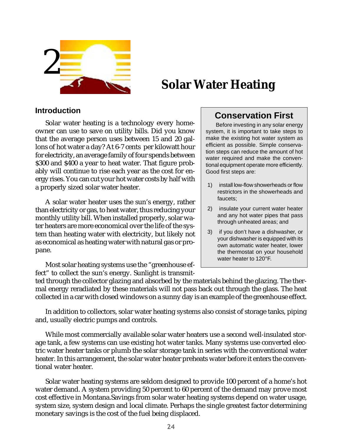<span id="page-23-0"></span>

# **Solar Water Heating**

#### **Introduction**

Solar water heating is a technology every homeowner can use to save on utility bills. Did you know that the average person uses between 15 and 20 gallons of hot water a day? At 6-7 cents per kilowatt hour for electricity, an average family of four spends between \$300 and \$400 a year to heat water. That figure probably will continue to rise each year as the cost for energy rises. You can cut your hot water costs by half with a properly sized solar water heater.

A solar water heater uses the sun's energy, rather than electricity or gas, to heat water, thus reducing your monthly utility bill. When installed properly, solar water heaters are more economical over the life of the system than heating water with electricity, but likely not as economical as heating water with natural gas or propane.

Most solar heating systems use the "greenhouse effect" to collect the sun's energy. Sunlight is transmit-

# **Conservation First**

Before investing in any solar energy system, it is important to take steps to make the existing hot water system as efficient as possible. Simple conservation steps can reduce the amount of hot water required and make the conventional equipment operate more efficiently. Good first steps are:

- 1) install low-flow showerheads or flow restrictors in the showerheads and faucets;
- 2) insulate your current water heater and any hot water pipes that pass through unheated areas; and
- 3) if you don't have a dishwasher, or your dishwasher is equipped with its own automatic water heater, lower the thermostat on your household water heater to 120°F.

ted through the collector glazing and absorbed by the materials behind the glazing. The thermal energy reradiated by these materials will not pass back out through the glass. The heat collected in a car with closed windows on a sunny day is an example of the greenhouse effect.

In addition to collectors, solar water heating systems also consist of storage tanks, piping and, usually electric pumps and controls.

While most commercially available solar water heaters use a second well-insulated storage tank, a few systems can use existing hot water tanks. Many systems use converted electric water heater tanks or plumb the solar storage tank in series with the conventional water heater. In this arrangement, the solar water heater preheats water before it enters the conventional water heater.

Solar water heating systems are seldom designed to provide 100 percent of a home's hot water demand. A system providing 50 percent to 60 percent of the demand may prove most cost effective in Montana.Savings from solar water heating systems depend on water usage, system size, system design and local climate. Perhaps the single greatest factor determining monetary savings is the cost of the fuel being displaced.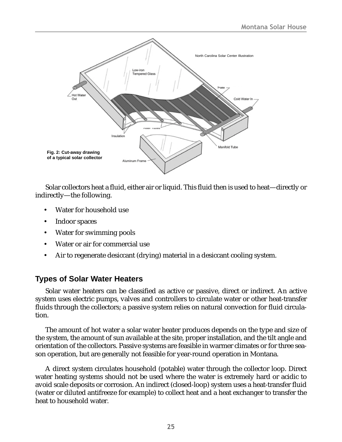<span id="page-24-0"></span>

Solar collectors heat a fluid, either air or liquid. This fluid then is used to heat—directly or indirectly—the following.

- Water for household use
- Indoor spaces
- Water for swimming pools
- Water or air for commercial use
- Air to regenerate desiccant (drying) material in a desiccant cooling system.

## **Types of Solar Water Heaters**

Solar water heaters can be classified as active or passive, direct or indirect. An active system uses electric pumps, valves and controllers to circulate water or other heat-transfer fluids through the collectors; a passive system relies on natural convection for fluid circulation.

The amount of hot water a solar water heater produces depends on the type and size of the system, the amount of sun available at the site, proper installation, and the tilt angle and orientation of the collectors. Passive systems are feasible in warmer climates or for three season operation, but are generally not feasible for year-round operation in Montana.

A direct system circulates household (potable) water through the collector loop. Direct water heating systems should not be used where the water is extremely hard or acidic to avoid scale deposits or corrosion. An indirect (closed-loop) system uses a heat-transfer fluid (water or diluted antifreeze for example) to collect heat and a heat exchanger to transfer the heat to household water.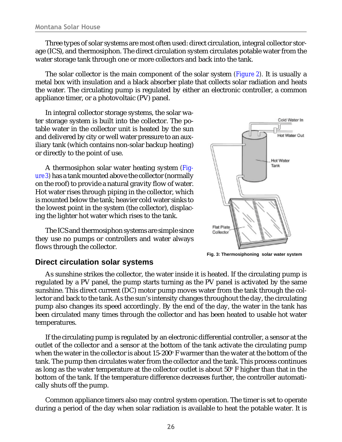<span id="page-25-0"></span>Three types of solar systems are most often used: direct circulation, integral collector storage (ICS), and thermosiphon. The direct circulation system circulates potable water from the water storage tank through one or more collectors and back into the tank.

The solar collector is the main component of the solar system *([Figure 2](#page-24-0)).* It is usually a metal box with insulation and a black absorber plate that collects solar radiation and heats the water. The circulating pump is regulated by either an electronic controller, a common appliance timer, or a photovoltaic (PV) panel.

In integral collector storage systems, the solar water storage system is built into the collector. The potable water in the collector unit is heated by the sun and delivered by city or well water pressure to an auxiliary tank (which contains non-solar backup heating) or directly to the point of use.

A thermosiphon solar water heating system *(Figure 3)* has a tank mounted above the collector (normally on the roof) to provide a natural gravity flow of water. Hot water rises through piping in the collector, which is mounted below the tank; heavier cold water sinks to the lowest point in the system (the collector), displacing the lighter hot water which rises to the tank.

The ICS and thermosiphon systems are simple since they use no pumps or controllers and water always flows through the collector.



**Fig. 3: Thermosiphoning solar water system**

#### **Direct circulation solar systems**

As sunshine strikes the collector, the water inside it is heated. If the circulating pump is regulated by a PV panel, the pump starts turning as the PV panel is activated by the same sunshine. This direct current (DC) motor pump moves water from the tank through the collector and back to the tank. As the sun's intensity changes throughout the day, the circulating pump also changes its speed accordingly. By the end of the day, the water in the tank has been circulated many times through the collector and has been heated to usable hot water temperatures.

If the circulating pump is regulated by an electronic differential controller, a sensor at the outlet of the collector and a sensor at the bottom of the tank activate the circulating pump when the water in the collector is about 15-200° F warmer than the water at the bottom of the tank. The pump then circulates water from the collector and the tank. This process continues as long as the water temperature at the collector outlet is about 50° F higher than that in the bottom of the tank. If the temperature difference decreases further, the controller automatically shuts off the pump.

Common appliance timers also may control system operation. The timer is set to operate during a period of the day when solar radiation is available to heat the potable water. It is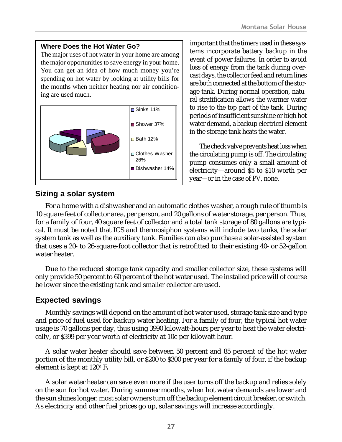#### <span id="page-26-0"></span>**Where Does the Hot Water Go?**

The major uses of hot water in your home are among the major opportunities to save energy in your home. You can get an idea of how much money you're spending on hot water by looking at utility bills for the months when neither heating nor air conditioning are used much.



#### **Sizing a solar system**

important that the timers used in these systems incorporate battery backup in the event of power failures. In order to avoid loss of energy from the tank during overcast days, the collector feed and return lines are both connected at the bottom of the storage tank. During normal operation, natural stratification allows the warmer water to rise to the top part of the tank. During periods of insufficient sunshine or high hot water demand, a backup electrical element in the storage tank heats the water.

The check valve prevents heat loss when the circulating pump is off. The circulating pump consumes only a small amount of electricity—around \$5 to \$10 worth per year—or in the case of PV, none.

For a home with a dishwasher and an automatic clothes washer, a rough rule of thumb is 10 square feet of collector area, per person, and 20 gallons of water storage, per person. Thus, for a family of four, 40 square feet of collector and a total tank storage of 80 gallons are typical. It must be noted that ICS and thermosiphon systems will include two tanks, the solar system tank as well as the auxiliary tank. Families can also purchase a solar-assisted system that uses a 20- to 26-square-foot collector that is retrofitted to their existing 40- or 52-gallon water heater.

Due to the reduced storage tank capacity and smaller collector size, these systems will only provide 50 percent to 60 percent of the hot water used. The installed price will of course be lower since the existing tank and smaller collector are used.

## **Expected savings**

Monthly savings will depend on the amount of hot water used, storage tank size and type and price of fuel used for backup water heating. For a family of four, the typical hot water usage is 70 gallons per day, thus using 3990 kilowatt-hours per year to heat the water electrically, or \$399 per year worth of electricity at 10¢ per kilowatt hour.

A solar water heater should save between 50 percent and 85 percent of the hot water portion of the monthly utility bill, or \$200 to \$300 per year for a family of four, if the backup element is kept at 120° F.

A solar water heater can save even more if the user turns off the backup and relies solely on the sun for hot water. During summer months, when hot water demands are lower and the sun shines longer, most solar owners turn off the backup element circuit breaker, or switch. As electricity and other fuel prices go up, solar savings will increase accordingly.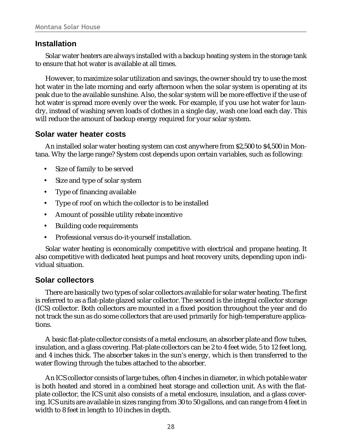#### <span id="page-27-0"></span>**Installation**

Solar water heaters are always installed with a backup heating system in the storage tank to ensure that hot water is available at all times.

However, to maximize solar utilization and savings, the owner should try to use the most hot water in the late morning and early afternoon when the solar system is operating at its peak due to the available sunshine. Also, the solar system will be more effective if the use of hot water is spread more evenly over the week. For example, if you use hot water for laundry, instead of washing seven loads of clothes in a single day, wash one load each day. This will reduce the amount of backup energy required for your solar system.

## **Solar water heater costs**

An installed solar water heating system can cost anywhere from \$2,500 to \$4,500 in Montana. Why the large range? System cost depends upon certain variables, such as following:

- Size of family to be served
- Size and type of solar system
- Type of financing available
- Type of roof on which the collector is to be installed
- Amount of possible utility rebate incentive
- Building code requirements
- Professional versus do-it-yourself installation.

Solar water heating is economically competitive with electrical and propane heating. It also competitive with dedicated heat pumps and heat recovery units, depending upon individual situation.

## **Solar collectors**

There are basically two types of solar collectors available for solar water heating. The first is referred to as a flat-plate glazed solar collector. The second is the integral collector storage (ICS) collector. Both collectors are mounted in a fixed position throughout the year and do not track the sun as do some collectors that are used primarily for high-temperature applications.

A basic flat-plate collector consists of a metal enclosure, an absorber plate and flow tubes, insulation, and a glass covering. Flat-plate collectors can be 2 to 4 feet wide, 5 to 12 feet long, and 4 inches thick. The absorber takes in the sun's energy, which is then transferred to the water flowing through the tubes attached to the absorber.

An ICS collector consists of large tubes, often 4 inches in diameter, in which potable water is both heated and stored in a combined heat storage and collection unit. As with the flatplate collector, the ICS unit also consists of a metal enclosure, insulation, and a glass covering. ICS units are available in sizes ranging from 30 to 50 gallons, and can range from 4 feet in width to 8 feet in length to 10 inches in depth.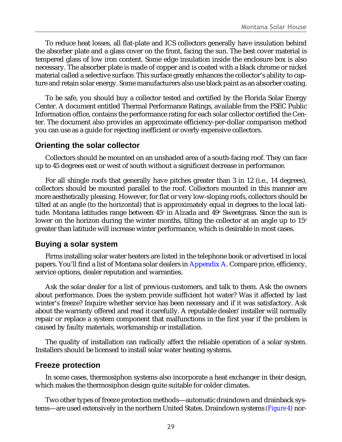<span id="page-28-0"></span>To reduce heat losses, all flat-plate and ICS collectors generally have insulation behind the absorber plate and a glass cover on the front, facing the sun. The best cover material is tempered glass of low iron content. Some edge insulation inside the enclosure box is also necessary. The absorber plate is made of copper and is coated with a black chrome or nickel material called a selective surface. This surface greatly enhances the collector's ability to capture and retain solar energy. Some manufacturers also use black paint as an absorber coating.

To be safe, you should buy a collector tested and certified by the Florida Solar Energy Center. A document entitled Thermal Performance Ratings, available from the FSEC Public Information office, contains the performance rating for each solar collector certified the Center. The document also provides an approximate efficiency-per-dollar comparison method you can use as a guide for rejecting inefficient or overly expensive collectors.

#### **Orienting the solar collector**

Collectors should be mounted on an unshaded area of a south-facing roof. They can face up to 45 degrees east or west of south without a significant decrease in performance.

For all shingle roofs that generally have pitches greater than 3 in 12 (i.e., 14 degrees), collectors should be mounted parallel to the roof. Collectors mounted in this manner are more aesthetically pleasing. However, for flat or very low-sloping roofs, collectors should be tilted at an angle (to the horizontal) that is approximately equal in degrees to the local latitude. Montana latitudes range between 45º in Alzada and 49º Sweetgrass. Since the sun is lower on the horizon during the winter months, tilting the collector at an angle up to  $15^{\circ}$ greater than latitude will increase winter performance, which is desirable in most cases.

## **Buying a solar system**

Firms installing solar water heaters are listed in the telephone book or advertised in local papers. You'll find a list of Montana solar dealers in [Appendix A.](#page-33-0) Compare price, efficiency, service options, dealer reputation and warranties.

Ask the solar dealer for a list of previous customers, and talk to them. Ask the owners about performance. Does the system provide sufficient hot water? Was it affected by last winter's freeze? Inquire whether service has been necessary and if it was satisfactory. Ask about the warranty offered and read it carefully. A reputable dealer/installer will normally repair or replace a system component that malfunctions in the first year if the problem is caused by faulty materials, workmanship or installation.

The quality of installation can radically affect the reliable operation of a solar system. Installers should be licensed to install solar water heating systems.

## **Freeze protection**

In some cases, thermosiphon systems also incorporate a heat exchanger in their design, which makes the thermosiphon design quite suitable for colder climates.

Two other types of freeze protection methods—automatic draindown and drainback systems—are used extensively in the northern United States. Draindown systems *([Figure 4\)](#page-29-0)* nor-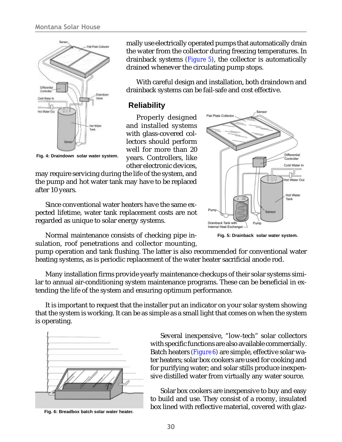<span id="page-29-0"></span>

**Fig. 4: Draindown solar water system.**

mally use electrically operated pumps that automatically drain the water from the collector during freezing temperatures. In drainback systems *(Figure 5)*, the collector is automatically drained whenever the circulating pump stops.

With careful design and installation, both draindown and drainback systems can be fail-safe and cost effective.

#### **Reliability**

Properly designed and installed systems with glass-covered collectors should perform well for more than 20 years. Controllers, like other electronic devices,

may require servicing during the life of the system, and the pump and hot water tank may have to be replaced after 10 years.

Since conventional water heaters have the same expected lifetime, water tank replacement costs are not regarded as unique to solar energy systems.



**Fig. 5: Drainback solar water system.**

Normal maintenance consists of checking pipe insulation, roof penetrations and collector mounting,

pump operation and tank flushing. The latter is also recommended for conventional water heating systems, as is periodic replacement of the water heater sacrificial anode rod.

Many installation firms provide yearly maintenance checkups of their solar systems similar to annual air-conditioning system maintenance programs. These can be beneficial in extending the life of the system and ensuring optimum performance.

It is important to request that the installer put an indicator on your solar system showing that the system is working. It can be as simple as a small light that comes on when the system is operating.



**Fig. 6: Breadbox batch solar water heater.**

Several inexpensive, "low-tech" solar collectors with specific functions are also available commercially. Batch heaters *(Figure 6)* are simple, effective solar water heaters; solar box cookers are used for cooking and for purifying water; and solar stills produce inexpensive distilled water from virtually any water source.

Solar box cookers are inexpensive to buy and easy to build and use. They consist of a roomy, insulated box lined with reflective material, covered with glaz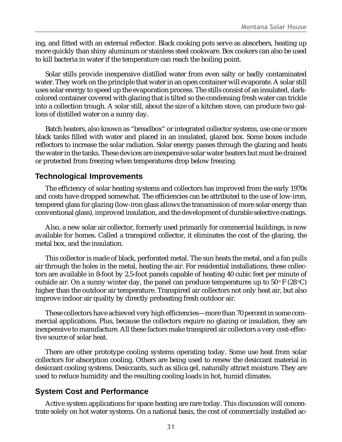<span id="page-30-0"></span>ing, and fitted with an external reflector. Black cooking pots serve as absorbers, heating up more quickly than shiny aluminum or stainless steel cookware. Box cookers can also be used to kill bacteria in water if the temperature can reach the boiling point.

Solar stills provide inexpensive distilled water from even salty or badly contaminated water. They work on the principle that water in an open container will evaporate. A solar still uses solar energy to speed up the evaporation process. The stills consist of an insulated, darkcolored container covered with glazing that is tilted so the condensing fresh water can trickle into a collection trough. A solar still, about the size of a kitchen stove, can produce two gallons of distilled water on a sunny day.

Batch heaters, also known as "breadbox" or integrated collector systems, use one or more black tanks filled with water and placed in an insulated, glazed box. Some boxes include reflectors to increase the solar radiation. Solar energy passes through the glazing and heats the water in the tanks. These devices are inexpensive solar water heaters but must be drained or protected from freezing when temperatures drop below freezing.

#### **Technological Improvements**

The efficiency of solar heating systems and collectors has improved from the early 1970s and costs have dropped somewhat. The efficiencies can be attributed to the use of low-iron, tempered glass for glazing (low-iron glass allows the transmission of more solar energy than conventional glass), improved insulation, and the development of durable selective coatings.

Also, a new solar air collector, formerly used primarily for commercial buildings, is now available for homes. Called a transpired collector, it eliminates the cost of the glazing, the metal box, and the insulation.

This collector is made of black, perforated metal. The sun heats the metal, and a fan pulls air through the holes in the metal, heating the air. For residential installations, these collectors are available in 8-foot by 2.5-foot panels capable of heating 40 cubic feet per minute of outside air. On a sunny winter day, the panel can produce temperatures up to  $50^{\circ}$  F (28  $^{\circ}$ C) higher than the outdoor air temperature. Transpired air collectors not only heat air, but also improve indoor air quality by directly preheating fresh outdoor air.

These collectors have achieved very high efficiencies—more than 70 percent in some commercial applications. Plus, because the collectors require no glazing or insulation, they are inexpensive to manufacture. All these factors make transpired air collectors a very cost-effective source of solar heat.

There are other prototype cooling systems operating today. Some use heat from solar collectors for absorption cooling. Others are being used to renew the desiccant material in desiccant cooling systems. Desiccants, such as silica gel, naturally attract moisture. They are used to reduce humidity and the resulting cooling loads in hot, humid climates.

## **System Cost and Performance**

Active system applications for space heating are rare today. This discussion will concentrate solely on hot water systems. On a national basis, the cost of commercially installed ac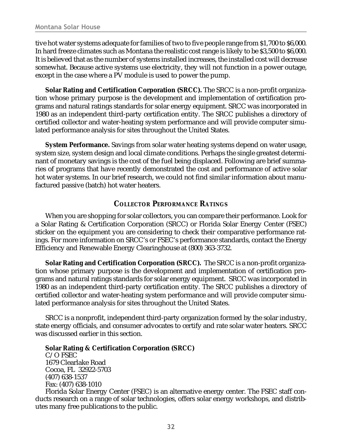<span id="page-31-0"></span>tive hot water systems adequate for families of two to five people range from \$1,700 to \$6,000. In hard freeze climates such as Montana the realistic cost range is likely to be \$3,500 to \$6,000. It is believed that as the number of systems installed increases, the installed cost will decrease somewhat. Because active systems use electricity, they will not function in a power outage, except in the case where a PV module is used to power the pump.

**Solar Rating and Certification Corporation (SRCC).** The SRCC is a non-profit organization whose primary purpose is the development and implementation of certification programs and natural ratings standards for solar energy equipment. SRCC was incorporated in 1980 as an independent third-party certification entity. The SRCC publishes a directory of certified collector and water-heating system performance and will provide computer simulated performance analysis for sites throughout the United States.

**System Performance.** Savings from solar water heating systems depend on water usage, system size, system design and local climate conditions. Perhaps the single greatest determinant of monetary savings is the cost of the fuel being displaced. Following are brief summaries of programs that have recently demonstrated the cost and performance of active solar hot water systems. In our brief research, we could not find similar information about manufactured passive (batch) hot water heaters.

#### **COLLECTOR PERFORMANCE RATINGS**

When you are shopping for solar collectors, you can compare their performance. Look for a Solar Rating & Certification Corporation (SRCC) or Florida Solar Energy Center (FSEC) sticker on the equipment you are considering to check their comparative performance ratings. For more information on SRCC's or FSEC's performance standards, contact the Energy Efficiency and Renewable Energy Clearinghouse at (800) 363-3732.

**Solar Rating and Certification Corporation (SRCC).** The SRCC is a non-profit organization whose primary purpose is the development and implementation of certification programs and natural ratings standards for solar energy equipment. SRCC was incorporated in 1980 as an independent third-party certification entity. The SRCC publishes a directory of certified collector and water-heating system performance and will provide computer simulated performance analysis for sites throughout the United States.

SRCC is a nonprofit, independent third-party organization formed by the solar industry, state energy officials, and consumer advocates to certify and rate solar water heaters. SRCC was discussed earlier in this section.

**Solar Rating & Certification Corporation (SRCC)** C/O FSEC 1679 Clearlake Road Cocoa, FL 32922-5703 (407) 638-1537 Fax: (407) 638-1010

Florida Solar Energy Center (FSEC) is an alternative energy center. The FSEC staff conducts research on a range of solar technologies, offers solar energy workshops, and distributes many free publications to the public.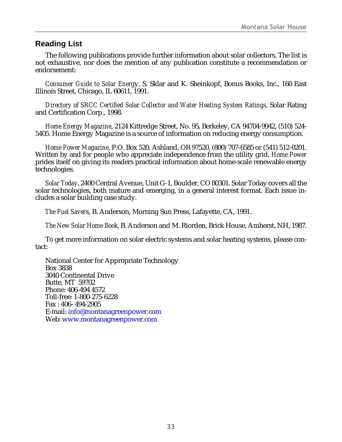## <span id="page-32-0"></span>**Reading List**

The following publications provide further information about solar collectors. The list is not exhaustive, nor does the mention of any publication constitute a recommendation or endorsement:

*Consumer Guide to Solar Energ*y, S. Sklar and K. Sheinkopf, Bonus Books, Inc., 160 East Illinois Street, Chicago, IL 60611, 1991.

*Directory of SRCC Certified Solar Collector and Water Heating System Ratings*, Solar Rating and Certification Corp., 1998.

*Home Energy Magazine*, 2124 Kittredge Street, No. 95, Berkeley, CA 94704-9942, (510) 524- 5405. Home Energy Magazine is a source of information on reducing energy consumption.

*Home Power Magazine*, P.O. Box 520, Ashland, OR 97520, (800) 707-6585 or (541) 512-0201. Written by and for people who appreciate independence from the utility grid, *Home Power* prides itself on giving its readers practical information about home-scale renewable energy technologies.

*Solar Today*, 2400 Central Avenue, Unit G-1, Boulder, CO 80301. Solar Today covers all the solar technologies, both mature and emerging, in a general interest format. Each issue includes a solar building case study.

*The Fuel Saver*s, B. Anderson, Morning Sun Press, Lafayette, CA, 1991.

*The New Solar Home Book*, B. Anderson and M. Riorden, Brick House, Amherst, NH, 1987.

To get more information on solar electric systems and solar heating systems, please contact:

National Center for Appropriate Technology Box 3838 3040 Continental Drive Butte, MT 59702 Phone: 406-494 4572 Toll-free: 1-800-275-6228 Fax : 406- 494-2905 E-mail: i[nfo@montanagreenpower.com](mailto:info@montanagreenpower.com?subject=Making Solar Work For You) Web: [www.montanagreenpower.com](http://www.montanagreenpower.com/)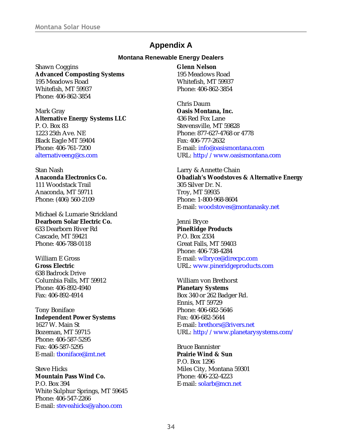# **Appendix A**

#### **Montana Renewable Energy Dealers**

<span id="page-33-0"></span>Shawn Coggins **Advanced Composting Systems** 195 Meadows Road Whitefish, MT 59937 Phone: 406-862-3854

Mark Gray **Alternative Energy Systems LLC** P. O. Box 83 1223 25th Ave. NE Black Eagle MT 59404 Phone: 406-761-7200 [alternativeeng@cs.com](mailto:alternativeeng@cs.com)

Stan Nash **Anaconda Electronics Co.** 111 Woodstack Trail Anaconda, MT 59711 Phone: (406) 560-2109

Michael & Lumarie Strickland **Dearborn Solar Electric Co.** 633 Dearborn River Rd Cascade, MT 59421 Phone: 406-788-0118

William E Gross **Gross Electric** 638 Badrock Drive Columbia Falls, MT 59912 Phone: 406-892-4940 Fax: 406-892-4914

Tony Boniface **Independent Power Systems** 1627 W. Main St Bozeman, MT 59715 Phone: 406-587-5295 Fax: 406-587-5295 E-mail: [tboniface@imt.net](mailto:tboniface@imt.net)

Steve Hicks **Mountain Pass Wind Co.** P.O. Box 394 White Sulphur Springs, MT 59645 Phone: 406-547-2266 E-mail: [steveahicks@yahoo.com](mailto:steveahicks@yahoo.com)

**Glenn Nelson** 195 Meadows Road Whitefish, MT 59937 Phone: 406-862-3854

Chris Daum **Oasis Montana, Inc.** 436 Red Fox Lane Stevensville, MT 59828 Phone: 877-627-4768 or 4778 Fax: 406-777-2632 E-mail: [info@oasismontana.com](mailto:info@oasismontana.com) URL:<http://www.oasismontana.com>

Larry & Annette Chain **Obadiah's Woodstoves & Alternative Energy** 305 Silver Dr. N. Troy, MT 59935 Phone: 1-800-968-8604 E-mail: [woodstoves@montanasky.net](mailto:woodstoves@montanasky.net)

Jenni Bryce **PineRidge Products** P.O. Box 2334 Great Falls, MT 59403 Phone: 406-738-4284 E-mail: [wlbryce@direcpc.com](mailto:wlbryce@direcpc.com) URL: [www.pineridgeproducts.com](http://www.pineridgeproducts.com)

William von Brethorst **Planetary Systems** Box 340 or 262 Badger Rd. Ennis, MT 59729 Phone: 406-682-5646 Fax: 406-682-5644 E-mail: [brethors@3rivers.net](mailto:brethors@3rivers.net) URL:<http://www.planetarysystems.com/>

Bruce Bannister **Prairie Wind & Sun** P.O. Box 1296 Miles City, Montana 59301 Phone: 406-232-4223 E-mail: [solarb@mcn.net](mailto:solarb@mcn.net)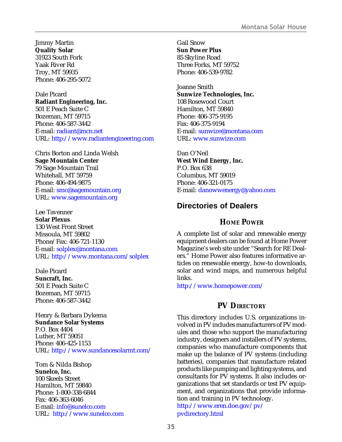<span id="page-34-0"></span>Jimmy Martin **Quality Solar** 31923 South Fork Yaak River Rd Troy, MT 59935 Phone: 406-295-5072

Dale Picard **Radiant Engineering, Inc.** 501 E Peach Suite C Bozeman, MT 59715 Phone: 406-587-3442 E-mail: [radiant@mcn.net](mailto:radiant@mcn.net) URL: <http://www.radiantengineering.com>

Chris Borton and Linda Welsh **Sage Mountain Center** 79 Sage Mountain Trail Whitehall, MT 59759 Phone: 406-494-9875 E-mail: [smc@sagemountain.org](mailto:smc@sagemountain.org) URL: [www.sagemountain.org](http://www.sagemountain.org)

Lee Tavenner **Solar Plexus** 130 West Front Street Missoula, MT 59802 Phone/Fax: 406-721-1130 E-mail: [solplex@montana.com](mailto:solplex@montana.com) URL: <http://www.montana.com/solplex>

Dale Picard **Suncraft, Inc.** 501 E Peach Suite C Bozeman, MT 59715 Phone: 406-587-3442

Henry & Barbara Dykema **Sundance Solar Systems** P.O. Box 4404 Luther, MT 59051 Phone: 406-425-1153 URL: <http://www.sundancesolarmt.com/>

Tom & Nilda Bishop **Sunelco, Inc.** 100 Skeels Street Hamilton, MT 59840 Phone: 1-800-338-6844 Fax: 406-363-6046 E-mail: [info@sunelco.com](mailto:info@sunelco.com) URL: <http://www.sunelco.com> Gail Snow **Sun Power Plus** 85 Skyline Road Three Forks, MT 59752 Phone: 406-539-9782

Joanne Smith **Sunwize Technologies, Inc.** 108 Rosewood Court Hamilton, MT 59840 Phone: 406-375-9195 Fax: 406-375-9194 E-mail: [sunwize@montana.com](mailto:sunwize@montana.com) URL: [www.sunwize.com](http://www.sunwize.com)

Dan O'Neil **West Wind Energy, Inc.** P.O. Box 638 Columbus, MT 59019 Phone: 406-321-0175 E-mail: [danowwenergy@yahoo.com](mailto:danowwenergy@yahoo.com)

## **Directories of Dealers**

#### **HOME POWER**

A complete list of solar and renewable energy equipment dealers can be found at Home Power Magazine's web site under "Search for RE Dealers." Home Power also features informative articles on renewable energy, how-to downloads, solar and wind maps, and numerous helpful links.

<http://www.homepower.com/>

#### **PV DIRECTORY**

This directory includes U.S. organizations involved in PV includes manufacturers of PV modules and those who support the manufacturing industry, designers and installers of PV systems, companies who manufacture components that make up the balance of PV systems (including batteries), companies that manufacture related products like pumping and lighting systems, and consultants for PV systems. It also includes organizations that set standards or test PV equipment, and organizations that provide information and training in PV technology. [http://www.eren.doe.gov/pv/](http://www.eren.doe.gov/pv/pvdirectory.html)

[pvdirectory.html](http://www.eren.doe.gov/pv/pvdirectory.html)